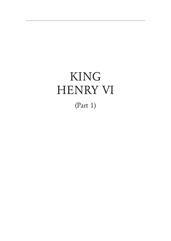# KING HENRY VI

(Part 1)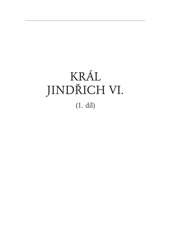# KRÁL JINDŘICH VI. (1. díl)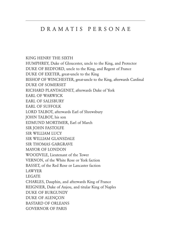### D R A M A T I S P E R S O N A E

KING HENRY THE SIXTH HUMPHREY, Duke of Gloucester, uncle to the King, and Protector DUKE OF BEDFORD, uncle to the King, and Regent of France DUKE OF EXETER, great-uncle to the King BISHOP OF WINCHESTER, great-uncle to the King, afterwards Cardinal DUKE OF SOMERSET RICHARD PLANTAGENET, afterwards Duke of York EARL OF WARWICK EARL OF SALISBURY EARL OF SUFFOLK LORD TALBOT, afterwards Earl of Shrewsbury JOHN TALBOT, his son EDMUND MORTIMER, Earl of March SIR JOHN FASTOLFE SIR WILLIAM LUCY SIR WILLIAM GLANSDALE SIR THOMAS GARGRAVE MAYOR OF LONDON WOODVILE, Lieutenant of the Tower VERNON, of the White Rose or York faction BASSET, of the Red Rose or Lancaster faction LAWYER LEGATE CHARLES, Dauphin, and afterwards King of France REIGNIER, Duke of Anjou, and titular King of Naples DUKE OF BURGUNDY DUKE OF ALENÇON BASTARD OF ORLEANS GOVERNOR OF PARIS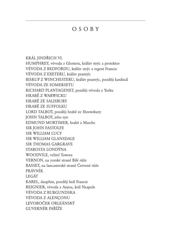## O S O B Y

KRÁL JINDŘICH VI. HUMPHREY, vévoda z Glosteru, králův strýc a protektor VÉVODA Z BEDFORDU, králův strýc a regent Francie VÉVODA Z EXETERU, králův prastrýc BISKUP Z WINCHESTERU, králův prastrýc, později kardinál VÉVODA ZE SOMERSETU RICHARD PLANTAGENET, později vévoda z Yorku HRABĚ Z WARWICKU HRABĚ ZE SALISBURY HRABĚ ZE SUFFOLKU LORD TALBOT, později hrabě ze Shrewsbury JOHN TALBOT, jeho syn EDMUND MORTIMER, hrabě z Marche SIR JOHN FASTOLFE SIR WILLIAM LUCY SIR WILLIAM GLANSDALE SIR THOMAS GARGRAVE STAROSTA LONDÝNA WOODVILE, velitel Toweru VERNON, na yorské straně Bílé růže BASSET, na lancasterské straně Červené růže PRÁVNÍK LEGÁT KAREL, dauphin, později král Francie REIGNIER, vévoda z Anjou, král Neapole VÉVODA Z BURGUNDSKA VÉVODA Z ALENÇONU LEVOBOČEK ORLEÁNSKÝ GUVERNÉR PAŘÍŽE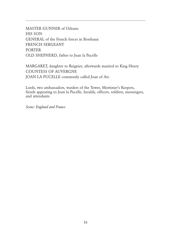MASTER GUNNER of Orleans HIS SON GENERAL of the French forces in Bordeaux FRENCH SERGEANT PORTER OLD SHEPHERD, father to Joan la Pucelle

MARGARET, daughter to Reignier, afterwards married to King Henry COUNTESS OF AUVERGNE JOAN LA PUCELLE commonly called Joan of Arc

Lords, two ambassadors, warders of the Tower, Mortimer's Keepers, fiends appearing to Joan la Pucelle, heralds, officers, soldiers, messengers, and attendants

*Scene: England and France*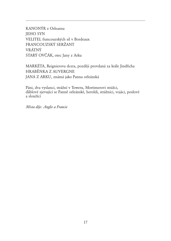KANONÝR z Orleansu JEHO SYN VELITEL francouzských sil v Bordeaux FRANCOUZSKÝ SERŽANT VRÁTNÝ STARÝ OVČÁK, otec Jany z Arku

MARKÉTA, Reignierova dcera, později provdaná za krále Jindřicha HRABĚNKA Z AUVERGNE JANA Z ARKU, známá jako Panna orleánská

Páni, dva vyslanci, strážní v Toweru, Mortimerovi strážci, ďáblové zjevující se Panně orleánské, heroldi, strážníci, vojáci, poslové a sloužící

*Místa děje: Anglie a Francie*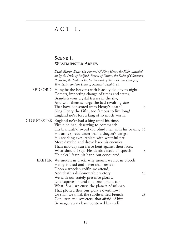### ACT I.

#### SCENE<sub>1</sub>. WESTMINSTER ABBEY.

 *Dead March. Enter The Funeral Of King Henry the Fifth, attended on by the Duke of Bedford, Regent of France; the Duke of Gloucester, Protector; the Duke of Exeter, the Earl of Warwick, the Bishop of Winchester, and the Duke of Somerset; heralds, etc.*

- BEDFORD Hung be the heavens with black, yield day to night! Comets, importing change of times and states, Brandish your crystal tresses in the sky, And with them scourge the bad revolting stars That have consented unto Henry's death! King Henry the Fifth, too famous to live long! England ne'er lost a king of so much worth.
- GLOUCESTER England ne'er had a king until his time. Virtue he had, deserving to command: His brandish'd sword did blind men with his beams; 10 His arms spread wider than a dragon's wings; His sparking eyes, replete with wrathful fire, More dazzled and drove back his enemies Than mid-day sun fierce bent against their faces. What should I say? His deeds exceed all speech: 15 He ne'er lift up his hand but conquered. EXETER We mourn in black: why mourn we not in blood? Henry is dead and never shall revive: Upon a wooden coffin we attend, And death's dishonourable victory 20 We with our stately presence glorify,
	- Like captives bound to a triumphant car. What! Shall we curse the planets of mishap That plotted thus our glory's overthrow? Or shall we think the subtle-witted French 25 Conjurers and sorcerers, that afraid of him By magic verses have contrived his end?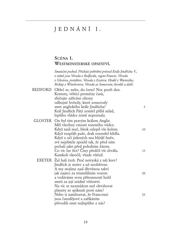## J E D N Á N Í I .

#### SCÉNA 1. WESTMINSTERSKÉ OPATSTVÍ.

| Smuteční pochod. Přichází pohřební průvod Krále Jindřicha V.,<br>v němž jsou Vévoda z Bedfordu, regent Francie; Vévoda<br>z Glosteru, protektor; Vévoda z Exeteru; Hrabě z Warwicku;<br>Biskup z Winchesteru; Vévoda ze Somersetu; heroldi a další.<br>BEDFORD Obleč se, nebe, do černi! Noc pozři den.<br>Komety, věštící proměny časů,<br>zbičujte zářícími ohony<br>odbojné hvězdy, které zosnovaly<br>smrt anglického krále Jindřicha!<br>Král Jindřich Pátý zemřel příliš mlád,<br>lepšího vládce země nepoznala. | 5        |
|------------------------------------------------------------------------------------------------------------------------------------------------------------------------------------------------------------------------------------------------------------------------------------------------------------------------------------------------------------------------------------------------------------------------------------------------------------------------------------------------------------------------|----------|
| GLOSTER On byl tím pravým králem Anglie.<br>Měl všechny ctnosti rozeného vůdce.<br>Když tasil meč, blesk oslepil vše kolem.<br>Když rozpřáh paže, drak rozestřel křídla.<br>Když z očí jiskrných mu blýskl hněv,<br>své nepřátele zpražil tak, že před ním<br>prchali jako před poledním žárem.<br>Co víc lze říct? Činy předčil vši chválu.<br>Kamkoli vkročil, všude vítězil.                                                                                                                                        | 10<br>15 |
| EXETER Žal halí čerň. Proč netryská z něj krev?<br>Jindřich je mrtev a už neobživne.<br>A my stojíme nad dřevěnou rakví<br>jak zajatci za triumfálním vozem<br>a vzdáváme svou přítomností hold<br>smrti za její zrádné vítězství.<br>Na víc se nezmůžem než obviňovat<br>planety ze spiknutí proti nám?<br>Nebo si namlouvat, že Francouzi                                                                                                                                                                            | 20<br>25 |
| jsou čarodějové a zaříkáním<br>přivodili smrt nejlepšího z nás?                                                                                                                                                                                                                                                                                                                                                                                                                                                        |          |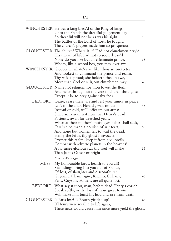|         | WINCHESTER He was a king bless'd of the King of kings.<br>Unto the French the dreadful judgement-day<br>So dreadful will not be as was his sight.<br>The battles of the Lord of hosts he fought:<br>The church's prayers made him so prosperous. | 30 |
|---------|--------------------------------------------------------------------------------------------------------------------------------------------------------------------------------------------------------------------------------------------------|----|
|         | GLOUCESTER The church! Where is it? Had not churchmen pray'd,<br>His thread of life had not so soon decay'd:<br>None do you like but an effeminate prince,<br>Whom, like a school-boy, you may over-awe.                                         | 35 |
|         | WINCHESTER Gloucester, whate'er we like, thou art protector<br>And lookest to command the prince and realm.<br>Thy wife is proud; she holdeth thee in awe,<br>More than God or religious churchmen may.                                          | 40 |
|         | GLOUCESTER Name not religion, for thou lovest the flesh,<br>And ne'er throughout the year to church thou go'st<br>Except it be to pray against thy foes.                                                                                         |    |
|         | BEDFORD Cease, cease these jars and rest your minds in peace:<br>Let's to the altar. Heralds, wait on us:<br>Instead of gold, we'll offer up our arms:<br>Since arms avail not now that Henry's dead.<br>Posterity, await for wretched years,    | 45 |
|         | When at their mothers' moist eyes babes shall suck,<br>Our isle be made a nourish of salt tears,<br>And none but women left to wail the dead.<br>Henry the Fifth, thy ghost I invocate:                                                          | 50 |
|         | Prosper this realm, keep it from civil broils,<br>Combat with adverse planets in the heavens!<br>A far more glorious star thy soul will make<br>Than Julius Caesar or bright –                                                                   | 55 |
|         | Enter a Messenger.                                                                                                                                                                                                                               |    |
| MESS.   | My honourable lords, health to you all!<br>Sad tidings bring I to you out of France,<br>Of loss, of slaughter and discomfiture:<br>Guyenne, Champagne, Rheims, Orleans,<br>Paris, Guysors, Poitiers, are all quite lost.                         | 60 |
| BEDFORD | What say'st thou, man, before dead Henry's corse?<br>Speak softly, or the loss of those great towns<br>Will make him burst his lead and rise from death.                                                                                         |    |
|         | GLOUCESTER Is Paris lost? Is Rouen yielded up?<br>If Henry were recall'd to life again,<br>These news would cause him once more yield the ghost.                                                                                                 | 65 |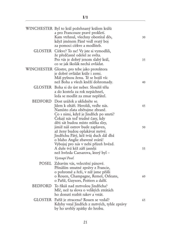|         | WINCHESTER Byl to král požehnaný králem králů<br>a pro Francouze pravé prokletí.<br>Kam vtrhnul, všechny obestíral děs,<br>když jménem Páně vedl svatý boj<br>za pomoci církve a modliteb.     | 30 |
|---------|------------------------------------------------------------------------------------------------------------------------------------------------------------------------------------------------|----|
| GLOSTER | Církve? To ne! Vy jste si vymodlili,<br>že předčasně odešel ze světa.<br>Pro vás je dobrý jenom slabý král,<br>co se jak školák nechá ovládat.                                                 | 35 |
|         | WINCHESTER Glostre, pro tebe jako protektora<br>je dobré ovládat krále i zemi.<br>Máš pyšnou ženu. Té se bojíš víc<br>než Boha a všech kněží dohromady.                                        | 40 |
|         | GLOSTER Boha si do úst neber. Sloužíš tělu<br>a do kostela za rok nepáchneš,<br>leda se modlit za zmar nepřátel.                                                                               |    |
| BEDFORD | Dost urážek a uklidněte se.<br>Jdem k oltáři. Heroldi, veďte nás.<br>Namísto zlata obětujme zbraně.<br>Co s nimi, když je Jindřich po smrti?<br>Čekají nás teď trudné časy, kdy                | 45 |
|         | děti sát budou místo mléka slzy,<br>jimiž náš ostrov bude zaplaven,<br>až ženy budou oplakávat mrtvé.<br>Jindřichu Pátý, kéž tvůj duch dál dbá<br>o blaho Anglie zbavené svárů!                | 50 |
|         | Vybojuj pro nás v nebi přízeň hvězd.<br>A duše tvá kéž září jasněji<br>než hvězda Caesarova, který byl -<br>Vystoupí Posel.                                                                    | 55 |
|         | POSEL Zdravím vás, velectění pánové.<br>Přináším smutné zprávy z Francie,<br>o pohromě a řeži, v níž jsme přišli<br>o Rouen, Champagne, Remeš, Orleans,<br>o Paříž, Guysors, Poitiers a další. | 60 |
| BEDFORD | To říkáš nad mrtvolou Jindřicha?<br>Mlč, než ta slova o velikých ztrátách<br>ho donutí rozbít rakev a vstát.                                                                                   |    |
|         | GLOSTER Paříž je ztracena? Rouen se vzdal?<br>Kdyby vstal Jindřich z mrtvých, tyhle zprávy<br>by ho uvrhly zpátky do hrobu.                                                                    | 65 |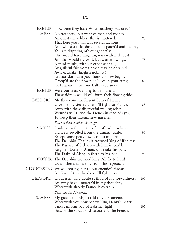|         | <b>EXETER</b> How were they lost? What treachery was used?                                                                                                                                                                                                                                                                                                                                                                                                                                                                                                        |                |
|---------|-------------------------------------------------------------------------------------------------------------------------------------------------------------------------------------------------------------------------------------------------------------------------------------------------------------------------------------------------------------------------------------------------------------------------------------------------------------------------------------------------------------------------------------------------------------------|----------------|
|         | MESS. No treachery; but want of men and money.<br>Amongst the soldiers this is muttered,<br>That here you maintain several factions,<br>And whilst a field should be dispatch'd and fought,<br>You are disputing of your generals:<br>One would have lingering wars with little cost;<br>Another would fly swift, but wanteth wings;<br>A third thinks, without expense at all,<br>By guileful fair words peace may be obtain'd.<br>Awake, awake, English nobility!<br>Let not sloth dim your honours new-begot:<br>Cropp'd are the flower-de-luces in your arms; | 70<br>75<br>80 |
|         | Of England's coat one half is cut away.<br><b>EXETER</b> Were our tears wanting to this funeral,<br>These tidings would call forth their flowing tides.                                                                                                                                                                                                                                                                                                                                                                                                           |                |
| BEDFORD | Me they concern; Regent I am of France.<br>Give me my steeled coat. I'll fight for France.<br>Away with these disgraceful wailing robes!<br>Wounds will I lend the French instead of eyes,<br>To weep their intermissive miseries.                                                                                                                                                                                                                                                                                                                                | 85             |
|         | Enter to them another Messenger.                                                                                                                                                                                                                                                                                                                                                                                                                                                                                                                                  |                |
|         | 2. MESS. Lords, view these letters full of bad mischance.<br>France is revolted from the English quite,<br>Except some petty towns of no import:<br>The Dauphin Charles is crowned king of Rheims;<br>The Bastard of Orleans with him is join'd;<br>Reignier, Duke of Anjou, doth take his part;<br>The Duke of Alençon flieth to his side.                                                                                                                                                                                                                       | 90<br>95       |
| EXETER  | The Dauphin crowned king! All fly to him!<br>O, whither shall we fly from this reproach?                                                                                                                                                                                                                                                                                                                                                                                                                                                                          |                |
|         | GLOUCESTER We will not fly, but to our enemies' throats.<br>Bedford, if thou be slack, I'll fight it out.                                                                                                                                                                                                                                                                                                                                                                                                                                                         |                |
| BEDFORD | Gloucester, why doubt'st thou of my forwardness?<br>An army have I muster'd in my thoughts,<br>Wherewith already France is overrun.                                                                                                                                                                                                                                                                                                                                                                                                                               | 100            |
|         | Enter another Messenger.                                                                                                                                                                                                                                                                                                                                                                                                                                                                                                                                          |                |
|         | 3. MESS. My gracious lords, to add to your laments,<br>Wherewith you now bedew King Henry's hearse,<br>I must inform you of a dismal fight<br>Betwixt the stout Lord Talbot and the French.                                                                                                                                                                                                                                                                                                                                                                       | 105            |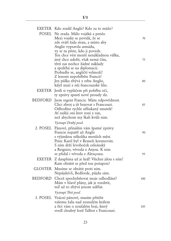|         | EXETER Kdo zradil Anglii? Kdo za to může?<br>POSEL Ne zrada. Málo vojáků a peněz.<br>Mezi vojsky se povídá, že se<br>zde sváří řada stran, a místo aby<br>Anglie vypravila armádu,<br>vy se tu přete, kdo ji povede.<br>Ten chce vést menší nenákladnou válku,<br>jiný chce udeřit, však nemá čím,<br>třetí zas nechce žádné náklady<br>a spoléhá se na diplomacii.<br>Probuďte se, angličtí velmoži!<br>Z lenosti nepohřběte Francii! | 70<br>75 |
|---------|----------------------------------------------------------------------------------------------------------------------------------------------------------------------------------------------------------------------------------------------------------------------------------------------------------------------------------------------------------------------------------------------------------------------------------------|----------|
|         | Jen půlka zbývá z erbu Anglie,                                                                                                                                                                                                                                                                                                                                                                                                         | 80       |
|         | když mizí z něj francouzské lilie.<br>EXETER Jestli si vypláčem při pohřbu oči,<br>ty zprávy spustí nové proudy slz.                                                                                                                                                                                                                                                                                                                   |          |
|         | BEDFORD Jsem regent Francie. Mám odpovědnost.<br>Chci zbroj a jít bojovat s Francouzi.<br>Odhoďme rychle ufňukaný smutek!<br>Ať raději oni krev roní z ran,<br>než abychom my lkali kvůli nim.                                                                                                                                                                                                                                         | 85       |
|         | Vystoupí Druhý posel.                                                                                                                                                                                                                                                                                                                                                                                                                  |          |
|         | 2. POSEL Pánové, přináším vám špatné zprávy.<br>Francie nepatří už Anglii<br>s výjimkou několika menších měst.<br>Princ Karel byl v Remeši korunován.<br>S ním drží levoboček orleánský                                                                                                                                                                                                                                                | 90       |
|         | a Reignier, vévoda z Anjou. K nim<br>se přidal i vévoda z Alençonu.                                                                                                                                                                                                                                                                                                                                                                    | 95       |
|         | EXETER Z dauphina už je král! Všichni jdou s ním!<br>Kam obrátit se před tou potupou?                                                                                                                                                                                                                                                                                                                                                  |          |
|         | GLOSTER Musíme se obrátit proti nim.<br>Nepůjdeš-li, Bedforde, půjdu sám.                                                                                                                                                                                                                                                                                                                                                              |          |
| BEDFORD | Chceš zpochybňovat moje odhodlání?<br>Mám v hlavě plány, jak je rozdrtit,<br>teď už to zbývá jenom udělat.                                                                                                                                                                                                                                                                                                                             | 100      |
|         | Vystoupí Třetí posel.                                                                                                                                                                                                                                                                                                                                                                                                                  |          |
|         | 3. POSEL Vzácní pánové, musím přitížit<br>vašemu žalu nad zesnulým králem<br>a říct vám o zoufalém boji, který<br>svedl chrabrý lord Talbot s Francouzi.                                                                                                                                                                                                                                                                               | 105      |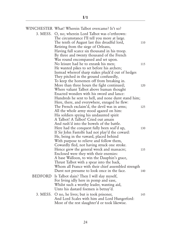|         | WINCHESTER What! Wherein Talbot overcame? Is't so?                                                                                                                                                                                                                                         |     |
|---------|--------------------------------------------------------------------------------------------------------------------------------------------------------------------------------------------------------------------------------------------------------------------------------------------|-----|
|         | 3. MESS. O, no; wherein Lord Talbot was o'erthrown:<br>The circumstance I'll tell you more at large.<br>The tenth of August last this dreadful lord,<br>Retiring from the siege of Orleans,<br>Having full scarce six thousand in his troop.<br>By three and twenty thousand of the French | 110 |
|         | Was round encompassed and set upon.<br>No leisure had he to enrank his men;<br>He wanted pikes to set before his archers;<br>Instead whereof sharp stakes pluck'd out of hedges                                                                                                            | 115 |
|         | They pitched in the ground confusedly,<br>To keep the horsemen off from breaking in.<br>More than three hours the fight continued;<br>Where valiant Talbot above human thought<br>Enacted wonders with his sword and lance:                                                                | 120 |
|         | Hundreds he sent to hell, and none durst stand him;<br>Here, there, and everywhere, enraged he flew:<br>The French exclaim'd, the devil was in arms;<br>All the whole army stood agazed on him:<br>His soldiers spying his undaunted spirit                                                | 125 |
|         | A Talbot! A Talbot! Cried out amain<br>And rush'd into the bowels of the battle.<br>Here had the conquest fully been seal'd up,<br>If Sir John Fastolfe had not play'd the coward:<br>He, being in the vaward, placed behind                                                               | 130 |
|         | With purpose to relieve and follow them,<br>Cowardly fled, not having struck one stroke.<br>Hence grew the general wreck and massacre;<br>Enclosed were they with their enemies:<br>A base Walloon, to win the Dauphin's grace,                                                            | 135 |
|         | Thrust Talbot with a spear into the back,<br>Whom all France with their chief assembled strength<br>Durst not presume to look once in the face.                                                                                                                                            | 140 |
| BEDFORD | Is Talbot slain? Then I will slay myself,<br>For living idly here in pomp and ease,<br>Whilst such a worthy leader, wanting aid,<br>Unto his dastard foemen is betray'd.                                                                                                                   |     |
|         | 3. MESS. O no, he lives; but is took prisoner,<br>And Lord Scales with him and Lord Hungerford:<br>Most of the rest slaughter'd or took likewise.                                                                                                                                          | 145 |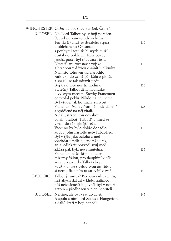|         | WINCHESTER Cože? Talbot snad zvítězil. Či ne? |     |
|---------|-----------------------------------------------|-----|
|         | 3. POSEL Ne. Lord Talbot byl v boji poražen.  |     |
|         | Podrobně vám to celé vylíčím.                 |     |
|         | Ten skvělý muž se desátého srpna              | 110 |
|         | u obléhaného Orleansu                         |     |
|         | s pouhými šesti tisíci svých mužů             |     |
|         | dostal do obklíčení Francouzů,                |     |
|         | jejichž počet byl třiadvacet tisíc.           |     |
|         | Nestačil ani rozestavit vojsko                | 115 |
|         | a hradbou z dřevců chránit lučištníky.        |     |
|         | Namísto toho jen tak narychlo                 |     |
|         | zatloukli do země pár kůlů z plotů,           |     |
|         | a snažili se tak odrazit jízdu.               |     |
|         | Boj trval více než tři hodiny.                | 120 |
|         | Statečný Talbot dělal nadlidské               |     |
|         | divy svým mečem. Stovky Francouzů             |     |
|         | odevzdal peklu. Nikdo na něj neměl.           |     |
|         | Byl všude, jak ho hnala zuřivost.             |     |
|         | Francouzi řvali: "Proti nám jde ďábel!"       | 125 |
|         | a vyděšeně na něj zírali.                     |     |
|         | A naši, strženi tou odvahou,                  |     |
|         | volali: "Talbot! Talbot!" a hned se           |     |
|         | vrhali do té nejlítější seče.                 |     |
|         | Všechno by bylo dobře dopadlo,                | 130 |
|         | kdyby John Fastolfe nebyl zbabělec.           |     |
|         | Byl v týlu jako záloha a měl                  |     |
|         | vystřídat umdlelé, jenomže utek,              |     |
|         | aniž jedinkrát pozvedl svůj meč.              |     |
|         | Zkáza pak byla nevyhnutelná.                  | 135 |
|         | Francouzi naše skřípli a jeden                |     |
|         | mizerný Valon, pro dauphinův dík,             |     |
|         | zezadu vrazil do Talbota kopí,                |     |
|         | když Francie s celou svou armádou             |     |
|         | si netroufla s ním utkat tváří v tvář.        | 140 |
| BEDFORD | Talbot je mrtev? Pak sám radši zemřu,         |     |
|         | než abych dál žil v klidu, zatímco            |     |
|         | náš nejvzácnější bojovník byl v nouzi         |     |
|         | zrazen a předhozen v plen nepříteli.          |     |
|         | 3. POSEL Ne, žije, ale byl vzat do zajetí.    | 145 |
|         | A spolu s ním lord Scales a Hungerford        |     |
|         | a další, kteří v boji nepadli.                |     |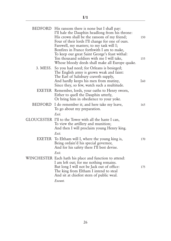|          | BEDFORD His ransom there is none but I shall pay:<br>I'll hale the Dauphin headlong from his throne:<br>His crown shall be the ransom of my friend;<br>Four of their lords I'll change for one of ours.<br>Farewell, my masters; to my task will I; | 150 |
|----------|-----------------------------------------------------------------------------------------------------------------------------------------------------------------------------------------------------------------------------------------------------|-----|
|          | Bonfires in France forthwith I am to make,<br>To keep our great Saint George's feast withal:<br>Ten thousand soldiers with me I will take,<br>Whose bloody deeds shall make all Europe quake.                                                       | 155 |
| 3. MESS. | So you had need; for Orleans is besieged;<br>The English army is grown weak and faint:<br>The Earl of Salisbury craveth supply,<br>And hardly keeps his men from mutiny,<br>Since they, so few, watch such a multitude.                             | 160 |
|          | EXETER Remember, lords, your oaths to Henry sworn,<br>Either to quell the Dauphin utterly,<br>Or bring him in obedience to your yoke.                                                                                                               |     |
| BEDFORD  | I do remember it; and here take my leave,<br>To go about my preparation.<br>Exit.                                                                                                                                                                   | 165 |
|          | GLOUCESTER I'll to the Tower with all the haste I can,<br>To view the artillery and munition;<br>And then I will proclaim young Henry king.<br>Exit.                                                                                                |     |
|          | EXETER To Eltham will I, where the young king is,<br>Being ordain'd his special governor,<br>And for his safety there I'll best devise.                                                                                                             | 170 |
|          | Exit.                                                                                                                                                                                                                                               |     |
|          | WINCHESTER Each hath his place and function to attend:<br>I am left out; for me nothing remains.<br>But long I will not be Jack out of office:<br>The king from Eltham I intend to steal<br>And sit at chiefest stern of public weal.               | 175 |
|          | Exeunt.                                                                                                                                                                                                                                             |     |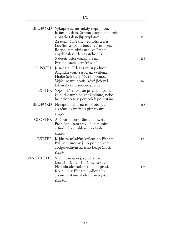| BEDFORD Výkupné za něj nikdy nepřijmou.<br>Já jim ho dám. Strhnu dauphina z trůnu<br>a přítele tak nejlíp vyplatím.<br>Za jejich čtyři chci jednoho z nás.<br>Loučím se, páni, budu teď mít práci.<br>Rozpoutám ohňostroj ve Francii,<br>abych oslavil den svatého Jiří.<br>S deseti tisíci vojáky v zemi | 150<br>155                                                  |
|-----------------------------------------------------------------------------------------------------------------------------------------------------------------------------------------------------------------------------------------------------------------------------------------------------------|-------------------------------------------------------------|
| 3. POSEL Je načase. Orleans musí padnout.<br>Anglická vojska jsou už vysílená.<br>Hrabě Salisbury žádá o pomoc.<br>Vojáci se mu bouří, když jich má<br>tak málo čelit mocné přesile.                                                                                                                      | 160                                                         |
| EXETER Vzpomeňte, co jste přísahali, páni,<br>že buď dauphina zneškodníte, nebo<br>ho přivlečete v poutech k potrestání.                                                                                                                                                                                  |                                                             |
| BEDFORD<br>Nezapomínám na to. Proto jdu<br>a začnu okamžitě s přípravami.                                                                                                                                                                                                                                 | 165                                                         |
| GLOSTER A já zatím pospíším do Toweru.<br>Prohlédnu tam stav děl a munice<br>a Jindřicha prohlásím za krále.                                                                                                                                                                                              |                                                             |
| EXETER Já jdu za mladým králem do Elthamu.<br>Byl jsem určený jeho poručníkem,<br>zodpovědným za jeho bezpečnost.                                                                                                                                                                                         | 170                                                         |
| WINCHESTER Všichni mají nějaký cíl a úkol,<br>kromě mě, na něhož nic nezbylo.<br>Nebudu ale skákat, jak kdo píská.<br>Krále jim z Elthamu odloudím<br>a sám se stanu vládcem nejvyšším.<br>Odejdou.                                                                                                       | 175                                                         |
|                                                                                                                                                                                                                                                                                                           | Evropa zažije zemětřesení.<br>Odejde.<br>Odejde.<br>Odejde. |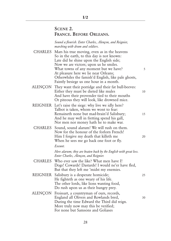#### SCENE 2. FRANCE. BEFORE ORLEANS.

 *Sound a flourish. Enter Charles, Alençon, and Reignier, marching with drum and soldiers.*

|          | CHARLES Mars his true moving, even as in the heavens<br>So in the earth, to this day is not known:<br>Late did he shine upon the English side;<br>Now we are victors; upon us he smiles.<br>What towns of any moment but we have?<br>At pleasure here we lie near Orleans;<br>Otherwhiles the famish'd English, like pale ghosts,<br>Faintly besiege us one hour in a month. | 5  |
|----------|------------------------------------------------------------------------------------------------------------------------------------------------------------------------------------------------------------------------------------------------------------------------------------------------------------------------------------------------------------------------------|----|
|          | ALENÇON They want their porridge and their fat bull-beeves:<br>Either they must be dieted like mules<br>And have their provender tied to their mouths<br>Or piteous they will look, like drowned mice.                                                                                                                                                                       | 10 |
|          | REIGNIER Let's raise the siege: why live we idly here?<br>Talbot is taken, whom we wont to fear:<br>Remaineth none but mad-brain'd Salisbury;<br>And he may well in fretting spend his gall,<br>Nor men nor money hath he to make war.                                                                                                                                       | 15 |
|          | CHARLES Sound, sound alarum! We will rush on them.<br>Now for the honour of the forlorn French!<br>Him I forgive my death that killeth me<br>When he sees me go back one foot or fly.<br>Exeunt.                                                                                                                                                                             | 20 |
|          | Here alarum; they are beaten back by the English with great loss.<br>Enter Charles, Alençon, and Reignier.                                                                                                                                                                                                                                                                   |    |
|          | CHARLES Who ever saw the like? What men have I!<br>Dogs! Cowards! Dastards! I would ne'er have fled,<br>But that they left me 'midst my enemies.                                                                                                                                                                                                                             |    |
| REIGNIER | Salisbury is a desperate homicide;<br>He fighteth as one weary of his life.<br>The other lords, like lions wanting food,<br>Do rush upon us as their hungry prey.                                                                                                                                                                                                            | 25 |
|          | ALENÇON Froissart, a countryman of ours, records,<br>England all Olivers and Rowlands bred,<br>During the time Edward the Third did reign.<br>More truly now may this be verified;<br>For none but Samsons and Goliases                                                                                                                                                      | 30 |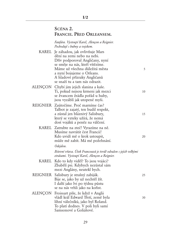#### SCÉNA 2. FRANCIE. PŘED ORLEANSEM.

**I/2**

|         | Fanfára. Vystoupí Karel, Alençon a Reignier.<br>Pochodují s bubny a vojskem.                                                                                                                                                              |    |
|---------|-------------------------------------------------------------------------------------------------------------------------------------------------------------------------------------------------------------------------------------------|----|
|         | KAREL Je záhadou, jak ovlivňuje Mars<br>dění na zemi nebo na nebi.<br>Dřív podporoval Angličany, nyní<br>se směje na nás, kteří vítězíme.<br>Máme už všechna důležitá města<br>a nyní bojujeme o Orleans.<br>A hladové přízraky Angličanů | 5  |
|         | se snaží tu a tam nás odrazit.<br>ALENÇON Chybí jim jejich slanina a kaše.<br>Ti, pokud nejsou krmeni jak mezci<br>se žvancem žrádla pořád u huby,<br>jsou vyzáblí jak utopené myši.                                                      | 10 |
|         | REIGNIER Zaútočíme. Proč marníme čas?<br>Talbot je zajatý, ten budil respekt,<br>a zůstal jen bláznivý Salisbury,<br>který se vzteky užírá, že nemá<br>dost vojáků a peněz na válčení.                                                    | 15 |
|         | KAREL Zatrubte na zteč! Vyrazíme na ně.<br>Musíme navrátit čest Francii!<br>Kdo uvidí mě o krok ustoupit,<br>může mě zabít. Má mé požehnání.<br>Odejdou.                                                                                  | 20 |
|         | Bitevní vřava. Útok Francouzů je tvrdě odražen s jejich velkými<br>ztrátami. Vystoupí Karel, Alençon a Reignier.                                                                                                                          |    |
| KAREL   | Kdo to kdy viděl? To jsou vojáci?<br>Zbabělí psi. Kdybych nezůstal sám<br>mezi Anglány, neutekl bych.                                                                                                                                     |    |
|         | REIGNIER Salisbury je strašný zabiják.<br>Bije se, jako by už nechtěl žít.<br>I další jako lvi po týdnu půstu<br>se na nás vrhli jako na kořist.                                                                                          | 25 |
| ALENÇON | Froissart píše, že když v Anglii<br>vládl král Edward Třetí, země byla<br>líhní válečníků, jako byl Roland.<br>To platí dodnes. V poli byli samí<br>Samsonové a Goliášové.                                                                | 30 |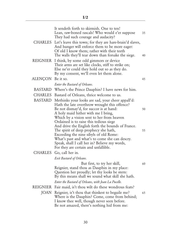|                   | It sendeth forth to skirmish. One to ten!<br>Lean, raw-boned rascals! Who would e'er suppose<br>They had such courage and audacity?                                                                                        | 35 |
|-------------------|----------------------------------------------------------------------------------------------------------------------------------------------------------------------------------------------------------------------------|----|
|                   | CHARLES Let's leave this town; for they are hare-brain'd slaves,<br>And hunger will enforce them to be more eager:<br>Of old I know them; rather with their teeth<br>The walls they'll tear down than forsake the siege.   | 40 |
|                   | REIGNIER I think, by some odd gimmors or device<br>Their arms are set like clocks, stiff to strike on;<br>Else ne'er could they hold out so as they do.<br>By my consent, we'll even let them alone.                       |    |
| ALENÇON Be it so. |                                                                                                                                                                                                                            | 45 |
|                   | Enter the Bastard of Orleans.                                                                                                                                                                                              |    |
|                   | BASTARD Where's the Prince Dauphin? I have news for him.                                                                                                                                                                   |    |
|                   | CHARLES Bastard of Orleans, thrice welcome to us.                                                                                                                                                                          |    |
| BASTARD           | Methinks your looks are sad, your cheer appall'd:<br>Hath the late overthrow wrought this offence?<br>Be not dismay'd, for succor is at hand:                                                                              | 50 |
|                   | A holy maid hither with me I bring,<br>Which by a vision sent to her from heaven<br>Ordained is to raise this tedious siege<br>And drive the English forth the bounds of France.                                           |    |
|                   | The spirit of deep prophecy she hath,<br>Exceeding the nine sibyls of old Rome:<br>What's past and what's to come she can descry.<br>Speak, shall I call her in? Believe my words,<br>For they are certain and unfallible. | 55 |
|                   | CHARLES Go, call her in.                                                                                                                                                                                                   |    |
|                   | Exit Bastard of Orleans.                                                                                                                                                                                                   |    |
|                   | But first, to try her skill,<br>Reignier, stand thou as Dauphin in my place:<br>Question her proudly; let thy looks be stern:<br>By this means shall we sound what skill she hath.                                         | 60 |
|                   | Enter the Bastard of Orleans, with Joan La Pucelle.                                                                                                                                                                        |    |
|                   | REIGNIER Fair maid, is't thou wilt do these wondrous feats?                                                                                                                                                                |    |
|                   | JOAN Reignier, is't thou that thinkest to beguile me?<br>Where is the Dauphin? Come, come from behind;<br>I know thee well, though never seen before.<br>Be not amazed, there's nothing hid from me:                       | 65 |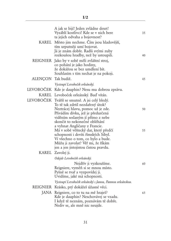|                    | A jak se bijí! Jeden zvládne deset!<br>Vyzáblí kostlivci! Kde se v nich bere<br>ta jejich odvaha a bojovnost?                                           | 35 |
|--------------------|---------------------------------------------------------------------------------------------------------------------------------------------------------|----|
|                    | KAREL Město jim nechme. Čím jsou hladovější,<br>tím urputněji umí bojovat.<br>Já je znám dobře. Radši svými zuby<br>rozkoušou hradby, než by ustoupili. | 40 |
|                    | REIGNIER Jako by v sobě měli zvláštní stroj,<br>co pohání je jako hodiny,<br>že dokážou se bez umdlení bít.<br>Souhlasím s tím nechat je na pokoji.     |    |
| ALENÇON Tak budiž. |                                                                                                                                                         | 45 |
|                    | Vystoupí Levoboček orleánský.                                                                                                                           |    |
|                    | LEVOBOČEK Kde je dauphin? Nesu mu dobrou zprávu.                                                                                                        |    |
|                    | KAREL Levoboček orleánský. Buď vítán.                                                                                                                   |    |
|                    | LEVOBOČEK Tváříš se smutně. A jsi celý bledý.                                                                                                           |    |
|                    | To tě tak zdrtil nezdařený útok?                                                                                                                        |    |
|                    | Neztrácej hlavu, pomoc už je zde.                                                                                                                       | 50 |
|                    | Přivádím dívku, jež je předurčená<br>viděním seslaným jí přímo z nebe                                                                                   |    |
|                    | skončit to nekonečné obléhání                                                                                                                           |    |
|                    | a vyhnat Angličany z Francie.                                                                                                                           |    |
|                    | Má v sobě věštecký dar, který předčí                                                                                                                    | 55 |
|                    | schopnosti i devíti římských Sibyl.                                                                                                                     |    |
|                    | Ví všechno o tom, co bylo a bude.<br>Můžu ji zavolat? Věř mi, že říkám                                                                                  |    |
|                    | jen a jen jistojistou čistou pravdu.                                                                                                                    |    |
|                    | KAREL Zavolej ji.                                                                                                                                       |    |
|                    | Odejde Levoboček orleánský.                                                                                                                             |    |
|                    | Nejdřív ji vyzkoušíme.                                                                                                                                  | 60 |
|                    | Reigniere, vyměň si se mnou místo.                                                                                                                      |    |
|                    | Pyšně se tvař a vyzpovídej ji.                                                                                                                          |    |
|                    | Uvidíme, jaké má schopnosti.                                                                                                                            |    |
|                    | Vystoupí Levoboček orleánský s Janou, Pannou orleánskou.                                                                                                |    |
|                    | REIGNIER Krásko, prý dokážeš úžasné věci.                                                                                                               |    |
|                    | JANA Reigniere, co to tu na mě hraješ?                                                                                                                  | 65 |
|                    | Kde je dauphin? Neschovávej se vzadu.<br>I když tě neznám, poznávám tě dobře.                                                                           |    |
|                    | Nediv se, ale mně nic neujde.                                                                                                                           |    |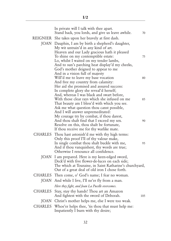| In private will I talk with thee apart.<br>Stand back, you lords, and give us leave awhile.                                                                                                                     | 70  |
|-----------------------------------------------------------------------------------------------------------------------------------------------------------------------------------------------------------------|-----|
| REIGNIER She takes upon her bravely at first dash.                                                                                                                                                              |     |
| JOAN Dauphin, I am by birth a shepherd's daughter,<br>My wit untrain'd in any kind of art.<br>Heaven and our Lady gracious hath it pleased<br>To shine on my contemptible estate:                               | 75  |
| Lo, whilst I waited on my tender lambs,<br>And to sun's parching heat display'd my cheeks,<br>God's mother deigned to appear to me<br>And in a vision full of majesty                                           |     |
| Will'd me to leave my base vocation                                                                                                                                                                             | 80  |
| And free my country from calamity:                                                                                                                                                                              |     |
| Her aid she promised and assured success:<br>In complete glory she reveal'd herself;                                                                                                                            |     |
| And, whereas I was black and swart before,                                                                                                                                                                      |     |
| With those clear rays which she infused on me                                                                                                                                                                   | 85  |
| That beauty am I bless'd with which you see.                                                                                                                                                                    |     |
| Ask me what question thou canst possible,<br>And I will answer unpremeditated:                                                                                                                                  |     |
| My courage try by combat, if thou darest,                                                                                                                                                                       |     |
| And thou shalt find that I exceed my sex.                                                                                                                                                                       | 90  |
| Resolve on this, thou shalt be fortunate,                                                                                                                                                                       |     |
| If thou receive me for thy warlike mate.                                                                                                                                                                        |     |
| CHARLES Thou hast astonish'd me with thy high terms:<br>Only this proof I'll of thy valour make,                                                                                                                |     |
| In single combat thou shalt buckle with me,                                                                                                                                                                     | 95  |
| And if thou vanquishest, thy words are true;                                                                                                                                                                    |     |
| Otherwise I renounce all confidence.                                                                                                                                                                            |     |
| JOAN I am prepared. Here is my keen-edged sword,<br>Deck'd with five flower-de-luces on each side;<br>The which at Touraine, in Saint Katharine's churchyard,<br>Out of a great deal of old iron I chose forth. |     |
| CHARLES Then come, o' God's name; I fear no woman.                                                                                                                                                              |     |
| JOAN And while I live, I'll ne'er fly from a man.                                                                                                                                                               |     |
| Here they fight, and Joan La Pucelle overcomes.                                                                                                                                                                 |     |
| CHARLES Stay, stay thy hands! Thou art an Amazon<br>And fightest with the sword of Deborah.                                                                                                                     | 105 |
| JOAN Christ's mother helps me, else I were too weak.                                                                                                                                                            |     |
| CHARLES Whoe'er helps thee, 'tis thou that must help me:<br>Impatiently I burn with thy desire;                                                                                                                 |     |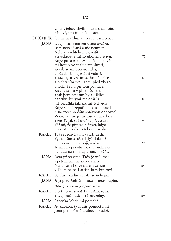| Chci s tebou chvíli mluvit o samotě.<br>Pánové, prosím, račte ustoupit.     | 70  |
|-----------------------------------------------------------------------------|-----|
| REIGNIER Jde na nás zhurta, to se musí nechat.                              |     |
| JANA Dauphine, jsem jen dcera ovčáka,                                       |     |
| jsem nevzdělaná a nic neumím.                                               |     |
| Nebi se zachtělo mě osvítit                                                 |     |
| a zvednout z mého ubohého stavu.                                            | 75  |
| Když pásla jsem svá jehňátka a tváře<br>mi hořely ve spalujícím slunci,     |     |
| zjevila se mi bohorodička,                                                  |     |
| v půvabné, majestátní vidině,                                               |     |
| a kázala, ať vzdám se hrubé práce                                           | 80  |
| a zachráním svou zemi před zkázou.                                          |     |
| Slíbila, že mi při tom pomůže.<br>Zjevila se mi v plné nádheře,             |     |
| a jak jsem předtím byla ošklivá,                                            |     |
| paprsky, kterými mě ozářila,                                                | 85  |
| mě okrášlila tak, jak mě teď vidíš.                                         |     |
| Když se mě zeptáš na cokoli, hned                                           |     |
| ti na všechno dám správnou odpověď.                                         |     |
| Vyzkoušej moji smělost a um v boji,<br>a zjistíš, jak své družky převyšuji. | 90  |
| Věř mi, že přinese ti štěstí, když                                          |     |
| mi vést tu válku s tebou dovolíš.                                           |     |
| KAREL Tvá sebechvála mi vyráží dech.                                        |     |
| Vyzkouším si tě, a když dokážeš                                             |     |
| mě porazit v souboji, uvěřím,                                               | 95  |
| že mluvíš pravdu. Pokud prohraješ,<br>nebudu už ti nikdy v ničem věřit.     |     |
|                                                                             |     |
| JANA Jsem připravena. Tady je můj meč<br>s pěti liliemi na každé straně.    |     |
| Našla jsem ho ve starém železe                                              | 100 |
| v Touraine na Kateřinském hřbitově.                                         |     |
| KAREL Pojďme. Žádné ženské se nebojím.                                      |     |
| JANA A já před žádným mužem neustoupím.                                     |     |
| Potýkají se v souboji a Jana zvítězí.                                       |     |
| KAREL Dost, to už stačí! Ty jsi Amazonka                                    |     |
| a tvůj meč bude jistě kouzelný.                                             | 105 |
| JANA Panenka Marie mi pomáhá.                                               |     |
| KAREL Ať kdokoli, ty musíš pomoct mně.                                      |     |
| Jsem přemožený touhou po tobě.                                              |     |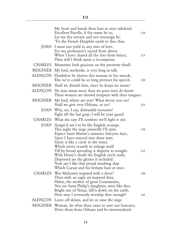| My heart and hands thou hast at once subdued.<br>Excellent Pucelle, if thy name be so,<br>Let me thy servant and not sovereign be:<br>'Tis the French Dauphin sueth to thee thus.                                                | 110 |
|----------------------------------------------------------------------------------------------------------------------------------------------------------------------------------------------------------------------------------|-----|
| JOAN I must not yield to any rites of love,<br>For my profession's sacred from above:<br>When I have chased all thy foes from hence,<br>Then will I think upon a recompense.                                                     | 115 |
| CHARLES Meantime look gracious on thy prostrate thrall.                                                                                                                                                                          |     |
| REIGNIER My lord, methinks, is very long in talk.                                                                                                                                                                                |     |
| ALENÇON Doubtless he shrives this woman to her smock;<br>Else ne'er could he so long protract his speech.                                                                                                                        | 120 |
| REIGNIER Shall we disturb him, since he keeps no mean?                                                                                                                                                                           |     |
| ALENÇON He may mean more than we poor men do know:<br>These women are shrewd tempters with their tongues.                                                                                                                        |     |
| REIGNIER My lord, where are you? What devise you on?<br>Shall we give over Orleans, or no?                                                                                                                                       | 125 |
| JOAN Why, no, I say, distrustful recreants!<br>Fight till the last gasp; I will be your guard.                                                                                                                                   |     |
| CHARLES What she says I'll confirm: we'll fight it out.                                                                                                                                                                          |     |
| JOAN Assign'd am I to be the English scourge.<br>This night the siege assuredly I'll raise:<br>Expect Saint Martin's summer, halcyon days,<br>Since I have entered into these wars.                                              | 130 |
| Glory is like a circle in the water,<br>Which never ceaseth to enlarge itself                                                                                                                                                    |     |
| Till by broad spreading it disperse to nought.<br>With Henry's death the English circle ends;<br>Dispersed are the glories it included.<br>Now am I like that proud insulting ship<br>Which Caesar and his fortune bare at once. | 135 |
| CHARLES Was Mahomet inspired with a dove?                                                                                                                                                                                        | 140 |
| Thou with an eagle art inspired then.<br>Helen, the mother of great Constantine,<br>Nor yet Saint Philip's daughters, were like thee.<br>Bright star of Venus, fall'n down on the earth,                                         |     |
| How may I reverently worship thee enough?                                                                                                                                                                                        | 145 |
| ALENÇON Leave off delays, and let us raise the siege.                                                                                                                                                                            |     |
| REIGNIER Woman, do what thou canst to save our honours;<br>Drive them from Orleans and be immortalized.                                                                                                                          |     |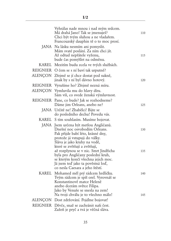| Vyhrálas nade mnou i nad mým srdcem.<br>Má drahá Jano! Tak se jmenuješ?<br>Chci být tvým sluhou a ne vladařem.<br>Francouzský dauphin tě o to moc prosí.                                                       | 110 |
|----------------------------------------------------------------------------------------------------------------------------------------------------------------------------------------------------------------|-----|
| JANA Na lásku nesmím ani pomyslit.<br>Mám svaté poslání. Za ním chci jít.<br>Až odtud nepřátele vyženu,<br>bude čas pomýšlet na odměnu.                                                                        | 115 |
| KAREL Mezitím budu zcela ve tvých službách.                                                                                                                                                                    |     |
| REIGNIER O čem se s ní baví tak urputně?                                                                                                                                                                       |     |
| ALENÇON Zřejmě se jí chce dostat pod sukně,<br>jinak by s ní byl dávno hotový.                                                                                                                                 | 120 |
| REIGNIER Vyrušíme ho? Zřejmě nezná míru.                                                                                                                                                                       |     |
| ALENÇON Vymluvila mu do hlavy díru.<br>Sám víš, co svede ženská výmluvnost.                                                                                                                                    |     |
| REIGNIER Pane, co bude? Jak se rozhodneme?<br>Dáme jim Orleans, anebo ne?                                                                                                                                      | 125 |
| JANA Určitě ne! Zbabělci! Bijte se<br>do posledního dechu! Povedu vás.                                                                                                                                         |     |
| KAREL S tím souhlasím. Musíme bojovat.                                                                                                                                                                         |     |
| JANA Jsem určena být metlou Angličanů.<br>Dnešní noc osvobodím Orleans.<br>Pak přijde babí léto, krásné dny,<br>protože já vstupuji do války.<br>Sláva je jako kruhy na vodě,<br>které se zvětšují a zvětšují, | 130 |
| až rozplynou se v nic. Smrt Jindřicha<br>byla pro Angličany poslední kruh,<br>se kterým končí všechna jejich moc.<br>Já jsem teď jako ta pověstná loď,<br>co nesla Caesara a jeho štěstí.                      | 135 |
| KAREL Mohamed měl prý rádcem hrdličku.<br>Tvým rádcem je spíš orel. Vyrovnáš se<br>Konstantinově matce Heleně<br>anebo dcerám světce Filipa.<br>Jako by Venuše se snesla na zem!                               | 140 |
| Na tvoji chválu je to všechno málo!                                                                                                                                                                            | 145 |
| ALENÇON Dost zdržování. Pojdme bojovat!                                                                                                                                                                        |     |
| REIGNIER Děvče, snaž se zachránit naši čest.<br>Zažeň je pryč a tvá je věčná sláva.                                                                                                                            |     |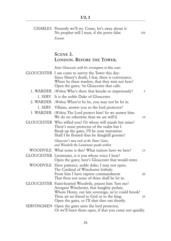| CHARLES Presently we'll try. Come, let's away about it:<br>No prophet will I trust, if she prove false.<br>Exeunt.                                                                                                                                                 | 150 |
|--------------------------------------------------------------------------------------------------------------------------------------------------------------------------------------------------------------------------------------------------------------------|-----|
| SCENE 3.<br>LONDON. BEFORE THE TOWER.                                                                                                                                                                                                                              |     |
| Enter Gloucester, with his servingmen in blue coats.<br>GLOUCESTER I am come to survey the Tower this day:<br>Since Henry's death, I fear, there is conveyance.<br>Where be these warders, that they wait not here?<br>Open the gates; 'tis Gloucester that calls. |     |
| 1. WARDER (Within) Who's there that knocks so imperiously?                                                                                                                                                                                                         | 5   |
| 1. SERV. It is the noble Duke of Gloucester.                                                                                                                                                                                                                       |     |
| 2. WARDER <i>(Within)</i> Whoe'er he be, you may not be let in.                                                                                                                                                                                                    |     |
| 1. SERV. Villains, answer you so the lord protector?                                                                                                                                                                                                               |     |
| 1. WARDER (Within) The Lord protect him! So we answer him:<br>We do no otherwise than we are will'd.                                                                                                                                                               | 10  |
| GLOUCESTER Who willed you? Or whose will stands but mine?<br>There's none protector of the realm but I.<br>Break up the gates, I'll be your warrantize.<br>Shall I be flouted thus by dunghill grooms?<br>Gloucester's men rush at the Tower Gates,                |     |
| and Woodvile the Lieutenant speaks within                                                                                                                                                                                                                          |     |
| WOODVILE What noise is this? What traitors have we here?                                                                                                                                                                                                           | 15  |
| GLOUCESTER Lieutenant, is it you whose voice I hear?<br>Open the gates; here's Gloucester that would enter.                                                                                                                                                        |     |
| WOODVILE Have patience, noble duke; I may not open;<br>The Cardinal of Winchester forbids:<br>From him I have express commandment<br>That thou nor none of thine shall be let in.                                                                                  | 20  |
| GLOUCESTER Faint-hearted Woodvile, prizest him 'fore me?<br>Arrogant Winchester, that haughty prelate,<br>Whom Henry, our late sovereign, ne'er could brook?<br>Thou art no friend to God or to the king:<br>Open the gates, or I'll shut thee out shortly.        | 25  |
| SERVINGMEN Open the gates unto the lord protector,<br>Or we'll burst them open, if that you come not quickly.                                                                                                                                                      |     |